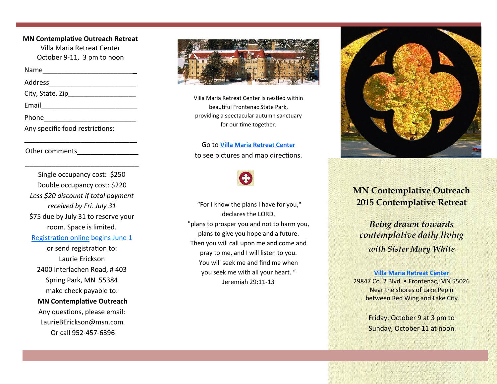**MN Contemplative Outreach Retreat** Villa Maria Retreat Center October 9-11, 3 pm to noon

Name\_\_\_\_\_\_\_\_\_\_\_\_\_\_\_\_\_\_\_\_\_\_\_\_\_

Address\_\_\_\_\_\_\_\_\_\_\_\_\_\_\_\_\_\_\_\_

City, State, Zip

Email\_\_\_\_\_\_\_\_\_\_\_\_\_\_\_\_\_\_\_\_\_\_

Phone **contract and contract of the contract of the contract of the contract of the contract of the contract of the contract of the contract of the contract of the contract of the contract of the contract of the contract o** 

Any specific food restrictions:

\_\_\_\_\_\_\_\_\_\_\_\_\_\_\_\_\_\_\_\_\_\_\_\_\_\_\_\_\_\_

\_\_\_\_\_\_\_\_\_\_\_\_\_\_\_\_\_\_\_\_\_\_\_\_\_\_

Other comments

Single occupancy cost: \$250 Double occupancy cost: \$220 *Less \$20 discount if total payment received by Fri. July 31* \$75 due by July 31 to reserve your room. Space is limited.

[Registration online](http://mncontemplativeoutreach.wufoo.com/forms/mn-contemplative-outreach-retreat-registration/) begins June 1

or send registration to: Laurie Erickson 2400 Interlachen Road, # 403 Spring Park, MN 55384 make check payable to:

## **MN Contemplative Outreach**

Any questions, please email: LaurieBErickson@msn.com Or call 952-457-6396



Villa Maria Retreat Center is nestled within beautiful Frontenac State Park, providing a spectacular autumn sanctuary for our time together.

Go to **[Villa Maria Retreat Center](http://www.villamariaretreats.org/)** to see pictures and map directions.

"For I know the plans I have for you," declares the LORD, "plans to prosper you and not to harm you, plans to give you hope and a future. Then you will call upon me and come and pray to me, and I will listen to you. You will seek me and find me when you seek me with all your heart. " Jeremiah 29:11-13



# **MN Contemplative Outreach 2015 Contemplative Retreat**

*Being drawn towards contemplative daily living with Sister Mary White* 

### **[Villa Maria Retreat Center](http://www.villamariaretreats.org/)**

29847 Co. 2 Blvd. • Frontenac, MN 55026 Near the shores of Lake Pepin between Red Wing and Lake City

> Friday, October 9 at 3 pm to Sunday, October 11 at noon